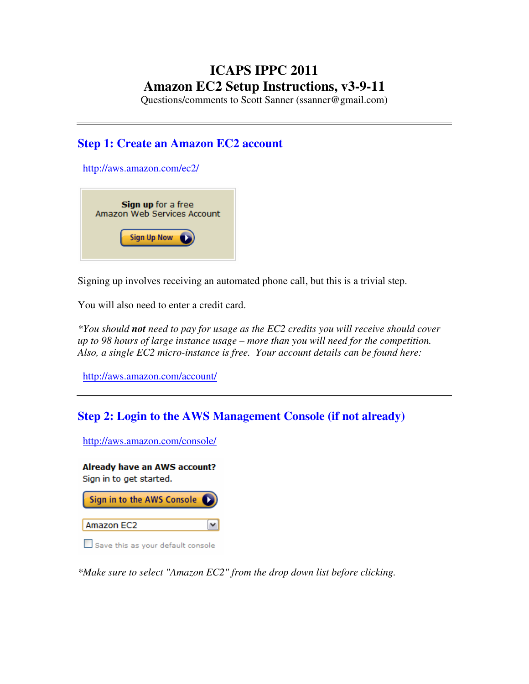# **ICAPS IPPC 2011 Amazon EC2 Setup Instructions, v3-9-11**

Questions/comments to Scott Sanner (ssanner@gmail.com)

## **Step 1: Create an Amazon EC2 account**

http://aws.amazon.com/ec2/



Signing up involves receiving an automated phone call, but this is a trivial step.

You will also need to enter a credit card.

*\*You should not need to pay for usage as the EC2 credits you will receive should cover up to 98 hours of large instance usage – more than you will need for the competition. Also, a single EC2 micro-instance is free. Your account details can be found here:* 

http://aws.amazon.com/account/

## **Step 2: Login to the AWS Management Console (if not already)**

http://aws.amazon.com/console/

Already have an AWS account? Sign in to get started. Sign in to the AWS Console Amazon EC2 ٧

Save this as your default console

*\*Make sure to select "Amazon EC2" from the drop down list before clicking.*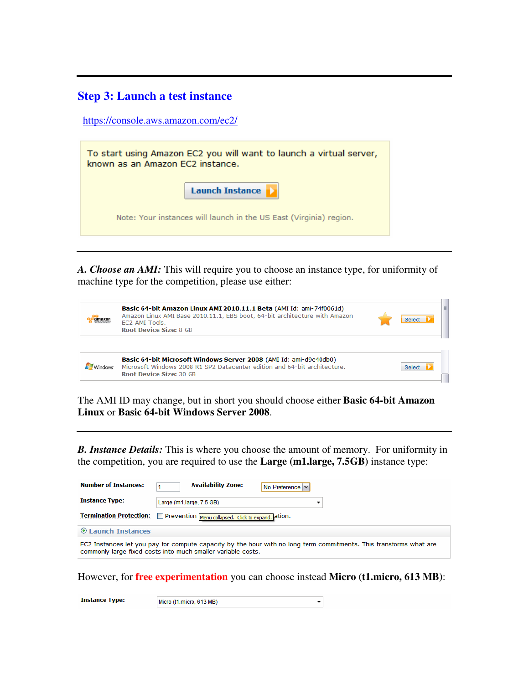### **Step 3: Launch a test instance**

https://console.aws.amazon.com/ec2/

| To start using Amazon EC2 you will want to launch a virtual server,<br>known as an Amazon EC2 instance. |  |  |  |  |
|---------------------------------------------------------------------------------------------------------|--|--|--|--|
| <b>Launch Instance</b>                                                                                  |  |  |  |  |
| Note: Your instances will launch in the US East (Virginia) region.                                      |  |  |  |  |

*A. Choose an AMI:* This will require you to choose an instance type, for uniformity of machine type for the competition, please use either:

| amazor | Basic 64-bit Amazon Linux AMI 2010.11.1 Beta (AMI Id: ami-74f0061d)<br>Amazon Linux AMI Base 2010.11.1, EBS boot, 64-bit architecture with Amazon<br>EC2 AMI Tools.<br><b>Root Device Size: 8 GB</b> | $\equiv$<br>Selec |
|--------|------------------------------------------------------------------------------------------------------------------------------------------------------------------------------------------------------|-------------------|
|        | Basic 64-bit Microsoft Windows Server 2008 (AMI Id: ami-d9e40db0)<br>Microsoft Windows 2008 R1 SP2 Datacenter edition and 64-bit architecture.<br><b>Root Device Size: 30 GB</b>                     | Select            |

The AMI ID may change, but in short you should choose either **Basic 64-bit Amazon Linux** or **Basic 64-bit Windows Server 2008**.

*B. Instance Details:* This is where you choose the amount of memory. For uniformity in the competition, you are required to use the **Large (m1.large, 7.5GB)** instance type:

| <b>Number of Instances:</b>                                                                                                                                                        | <b>Availability Zone:</b><br>No Preference V |  |  |  |  |  |
|------------------------------------------------------------------------------------------------------------------------------------------------------------------------------------|----------------------------------------------|--|--|--|--|--|
| <b>Instance Type:</b>                                                                                                                                                              | Large (m1.large, 7.5 GB)<br>▼                |  |  |  |  |  |
| <b>Termination Protection:</b><br>Prevention Menu collapsed. Click to expand. ation.                                                                                               |                                              |  |  |  |  |  |
| <b>C</b> Launch Instances                                                                                                                                                          |                                              |  |  |  |  |  |
| EC2 Instances let you pay for compute capacity by the hour with no long term commitments. This transforms what are<br>commonly large fixed costs into much smaller variable costs. |                                              |  |  |  |  |  |

However, for **free experimentation** you can choose instead **Micro (t1.micro, 613 MB)**:

 $\left| \cdot \right|$ 

**Instance Type:** 

Micro (t1.micro, 613 MB)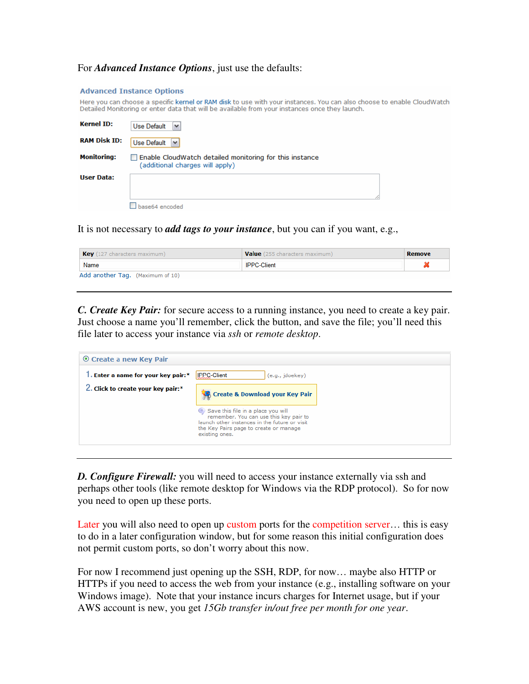### For *Advanced Instance Options*, just use the defaults:

#### **Advanced Instance Options**

Here you can choose a specific kernel or RAM disk to use with your instances. You can also choose to enable CloudWatch Detailed Monitoring or enter data that will be available from your instances once they launch.

| <b>Kernel ID:</b>   | <b>Use Default</b><br>$\checkmark$                                                         |
|---------------------|--------------------------------------------------------------------------------------------|
| <b>RAM Disk ID:</b> | <b>Use Default</b><br>v                                                                    |
| <b>Monitoring:</b>  | Enable CloudWatch detailed monitoring for this instance<br>(additional charges will apply) |
| <b>User Data:</b>   | base64 encoded                                                                             |

It is not necessary to *add tags to your instance*, but you can if you want, e.g.,

*C. Create Key Pair:* for secure access to a running instance, you need to create a key pair. Just choose a name you'll remember, click the button, and save the file; you'll need this file later to access your instance via *ssh* or *remote desktop*.

| ⊙ Create a new Key Pair            |                                                                                                                                                                                           |
|------------------------------------|-------------------------------------------------------------------------------------------------------------------------------------------------------------------------------------------|
| . Enter a name for your key pair:* | <b>IPPC-Client</b><br>(e.g., jdoekey)                                                                                                                                                     |
| 2. Click to create your key pair:* | <b>State &amp; Download your Key Pair</b>                                                                                                                                                 |
|                                    | Save this file in a place you will<br>remember. You can use this key pair to<br>launch other instances in the future or visit<br>the Key Pairs page to create or manage<br>existing ones. |

**D. Configure Firewall:** you will need to access your instance externally via ssh and perhaps other tools (like remote desktop for Windows via the RDP protocol). So for now you need to open up these ports.

Later you will also need to open up custom ports for the competition server... this is easy to do in a later configuration window, but for some reason this initial configuration does not permit custom ports, so don't worry about this now.

For now I recommend just opening up the SSH, RDP, for now… maybe also HTTP or HTTPs if you need to access the web from your instance (e.g., installing software on your Windows image). Note that your instance incurs charges for Internet usage, but if your AWS account is new, you get *15Gb transfer in/out free per month for one year*.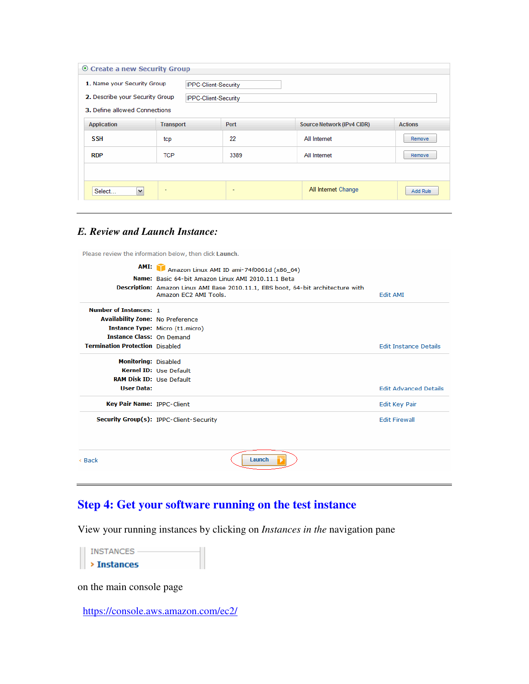| © Create a new Security Group   |                  |                             |                                   |                |  |  |
|---------------------------------|------------------|-----------------------------|-----------------------------------|----------------|--|--|
| 1. Name your Security Group     |                  | <b>IPPC-Client-Security</b> |                                   |                |  |  |
| 2. Describe your Security Group |                  | <b>IPPC-Client-Security</b> |                                   |                |  |  |
| 3. Define allowed Connections   |                  |                             |                                   |                |  |  |
| Application                     | <b>Transport</b> | Port                        | <b>Source Network (IPv4 CIDR)</b> | <b>Actions</b> |  |  |
| <b>SSH</b>                      | tcp              | 22                          | All Internet                      | Remove         |  |  |
| <b>RDP</b>                      | <b>TCP</b>       | 3389                        | All Internet                      | <b>Remove</b>  |  |  |
|                                 |                  |                             |                                   |                |  |  |
| $\checkmark$<br>Select          | ٠                | $\overline{\phantom{0}}$    | All Internet Change               | Add Rule       |  |  |

### *E. Review and Launch Instance:*

Please review the information below, then click Launch.

| AMI:                                    | Amazon Linux AMI ID ami-74f0061d (x86 64)<br>Name: Basic 64-bit Amazon Linux AMI 2010.11.1 Beta<br>Description: Amazon Linux AMI Base 2010.11.1, EBS boot, 64-bit architecture with<br>Amazon EC2 AMI Tools. | Edit AMI                     |
|-----------------------------------------|--------------------------------------------------------------------------------------------------------------------------------------------------------------------------------------------------------------|------------------------------|
| <b>Number of Instances: 1</b>           |                                                                                                                                                                                                              |                              |
| <b>Availability Zone: No Preference</b> |                                                                                                                                                                                                              |                              |
|                                         | <b>Instance Type:</b> Micro (t1.micro)                                                                                                                                                                       |                              |
| <b>Instance Class: On Demand</b>        |                                                                                                                                                                                                              |                              |
| <b>Termination Protection</b> Disabled  |                                                                                                                                                                                                              | <b>Edit Instance Details</b> |
| <b>Monitoring: Disabled</b>             |                                                                                                                                                                                                              |                              |
|                                         | Kernel ID: Use Default                                                                                                                                                                                       |                              |
| <b>RAM Disk ID: Use Default</b>         |                                                                                                                                                                                                              |                              |
| <b>User Data:</b>                       |                                                                                                                                                                                                              | <b>Edit Advanced Details</b> |
| <b>Key Pair Name: IPPC-Client</b>       |                                                                                                                                                                                                              | Edit Key Pair                |
|                                         | Security Group(s): IPPC-Client-Security                                                                                                                                                                      | <b>Edit Firewall</b>         |
|                                         |                                                                                                                                                                                                              |                              |
| < Back                                  | Launch                                                                                                                                                                                                       |                              |

# **Step 4: Get your software running on the test instance**

View your running instances by clicking on *Instances in the* navigation pane

| <b>INSTANCES</b> |  |
|------------------|--|
| > Instances      |  |

on the main console page

https://console.aws.amazon.com/ec2/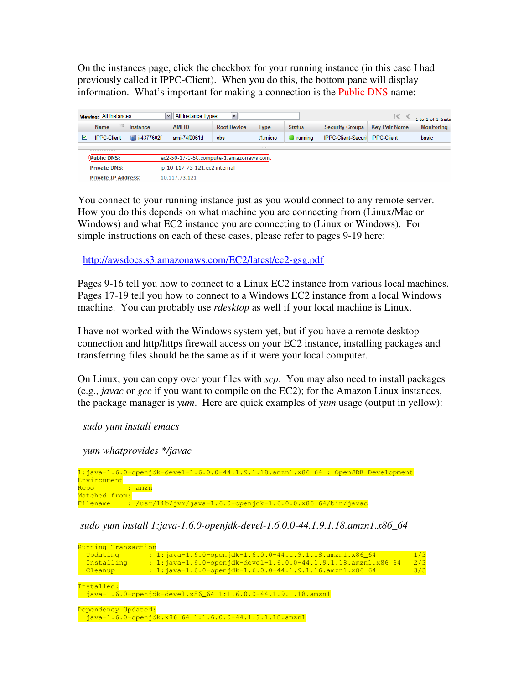On the instances page, click the checkbox for your running instance (in this case I had previously called it IPPC-Client). When you do this, the bottom pane will display information. What's important for making a connection is the Public DNS name:

| All Instance Types<br>$\vee$<br><b>Viewing: All Instances</b><br>$\checkmark$<br>$\mathbb{R}$ |                                   |            |                                         |                    |          | 1 to 1 of 1 Inst |                                        |                      |                   |
|-----------------------------------------------------------------------------------------------|-----------------------------------|------------|-----------------------------------------|--------------------|----------|------------------|----------------------------------------|----------------------|-------------------|
|                                                                                               | $ab$<br><b>Name</b>               | Instance   | <b>AMI ID</b>                           | <b>Root Device</b> | Type     | <b>Status</b>    | <b>Security Groups</b>                 | <b>Key Pair Name</b> | <b>Monitoring</b> |
| ☑                                                                                             | <b>IPPC-Client</b>                | i-4377602f | ami-74f0061d                            | ebs                | t1.micro | running          | <b>IPPC-Client-Securit IPPC-Client</b> |                      | basic             |
|                                                                                               | $r + r$<br>. <b>.</b><br>________ |            |                                         |                    |          |                  |                                        |                      |                   |
|                                                                                               | (Public DNS:                      |            | ec2-50-17-3-58.compute-1.amazonaws.com) |                    |          |                  |                                        |                      |                   |
|                                                                                               | <b>Private DNS:</b>               |            | ip-10-117-73-121.ec2.internal           |                    |          |                  |                                        |                      |                   |
|                                                                                               | <b>Private IP Address:</b>        |            | 10.117.73.121                           |                    |          |                  |                                        |                      |                   |

You connect to your running instance just as you would connect to any remote server. How you do this depends on what machine you are connecting from (Linux/Mac or Windows) and what EC2 instance you are connecting to (Linux or Windows). For simple instructions on each of these cases, please refer to pages 9-19 here:

http://awsdocs.s3.amazonaws.com/EC2/latest/ec2-gsg.pdf

Pages 9-16 tell you how to connect to a Linux EC2 instance from various local machines. Pages 17-19 tell you how to connect to a Windows EC2 instance from a local Windows machine. You can probably use *rdesktop* as well if your local machine is Linux.

I have not worked with the Windows system yet, but if you have a remote desktop connection and http/https firewall access on your EC2 instance, installing packages and transferring files should be the same as if it were your local computer.

On Linux, you can copy over your files with *scp*. You may also need to install packages (e.g., *javac* or *gcc* if you want to compile on the EC2); for the Amazon Linux instances, the package manager is *yum*. Here are quick examples of *yum* usage (output in yellow):

*sudo yum install emacs* 

 *yum whatprovides \*/javac* 

1:java-1.6.0-openjdk-devel-1.6.0.0-44.1.9.1.18.amzn1.x86\_64 : OpenJDK Development Environment Repo : amzn Matched from: Filename : /usr/lib/jvm/java-1.6.0-openjdk-1.6.0.0.x86\_64/bin/javac

 *sudo yum install 1:java-1.6.0-openjdk-devel-1.6.0.0-44.1.9.1.18.amzn1.x86\_64* 

| Running Transaction                                                                                                                                                                                                                                                                                                               |     |
|-----------------------------------------------------------------------------------------------------------------------------------------------------------------------------------------------------------------------------------------------------------------------------------------------------------------------------------|-----|
| : $1:$ $\frac{1}{1}$ $\frac{1}{1}$ $\frac{1}{1}$ $\frac{6}{1}$ $\frac{0}{1}$ $\frac{1}{1}$ $\frac{1}{1}$ $\frac{1}{1}$ $\frac{1}{1}$ $\frac{1}{1}$ $\frac{1}{1}$ $\frac{1}{1}$ $\frac{1}{1}$ $\frac{1}{1}$ $\frac{1}{1}$ $\frac{1}{1}$ $\frac{1}{1}$ $\frac{1}{1}$ $\frac{1}{1}$ $\frac{1}{1}$ $\frac{1}{1}$ $\frac{$<br>Updating | 1/3 |
| $: 1:$ java-1.6.0-openjdk-devel-1.6.0.0-44.1.9.1.18.amzn1.x86_64<br>Installing                                                                                                                                                                                                                                                    | 2/3 |
| : $1:$ $j$ ava-1.6.0-open $j$ dk-1.6.0.0-44.1.9.1.16.amzn1.x86_64<br>Cleanup                                                                                                                                                                                                                                                      | 3/3 |
|                                                                                                                                                                                                                                                                                                                                   |     |
| Installed:                                                                                                                                                                                                                                                                                                                        |     |
| $i$ ava-1.6.0-openidk-devel.x86 64 1:1.6.0.0-44.1.9.1.18.amzn1                                                                                                                                                                                                                                                                    |     |
|                                                                                                                                                                                                                                                                                                                                   |     |
| Dependency Updated:<br>$i$ ava-1.6.0-openidk.x86 64 1:1.6.0.0-44.1.9.1.18.amzn1                                                                                                                                                                                                                                                   |     |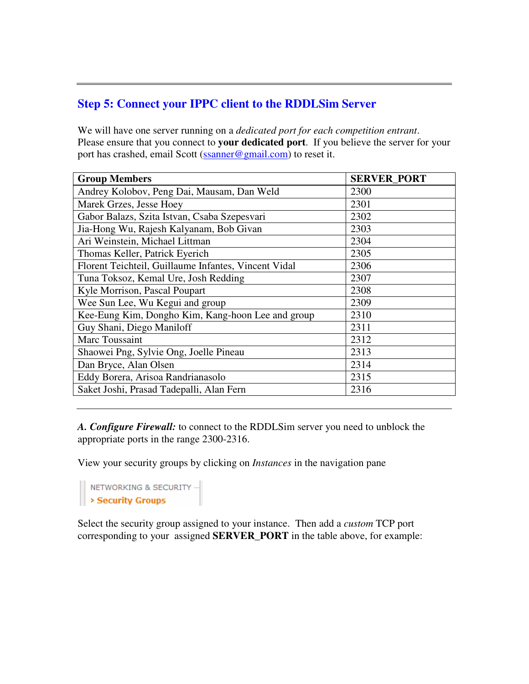### **Step 5: Connect your IPPC client to the RDDLSim Server**

We will have one server running on a *dedicated port for each competition entrant*. Please ensure that you connect to **your dedicated port**. If you believe the server for your port has crashed, email Scott (ssanner@gmail.com) to reset it.

| <b>Group Members</b>                                 | <b>SERVER PORT</b> |
|------------------------------------------------------|--------------------|
| Andrey Kolobov, Peng Dai, Mausam, Dan Weld           | 2300               |
| Marek Grzes, Jesse Hoey                              | 2301               |
| Gabor Balazs, Szita Istvan, Csaba Szepesvari         | 2302               |
| Jia-Hong Wu, Rajesh Kalyanam, Bob Givan              | 2303               |
| Ari Weinstein, Michael Littman                       | 2304               |
| Thomas Keller, Patrick Eyerich                       | 2305               |
| Florent Teichteil, Guillaume Infantes, Vincent Vidal | 2306               |
| Tuna Toksoz, Kemal Ure, Josh Redding                 | 2307               |
| Kyle Morrison, Pascal Poupart                        | 2308               |
| Wee Sun Lee, Wu Kegui and group                      | 2309               |
| Kee-Eung Kim, Dongho Kim, Kang-hoon Lee and group    | 2310               |
| Guy Shani, Diego Maniloff                            | 2311               |
| Marc Toussaint                                       | 2312               |
| Shaowei Png, Sylvie Ong, Joelle Pineau               | 2313               |
| Dan Bryce, Alan Olsen                                | 2314               |
| Eddy Borera, Arisoa Randrianasolo                    | 2315               |
| Saket Joshi, Prasad Tadepalli, Alan Fern             | 2316               |

*A. Configure Firewall:* to connect to the RDDLSim server you need to unblock the appropriate ports in the range 2300-2316.

View your security groups by clicking on *Instances* in the navigation pane

NETWORKING & SECURITY -

Select the security group assigned to your instance. Then add a *custom* TCP port corresponding to your assigned **SERVER\_PORT** in the table above, for example: